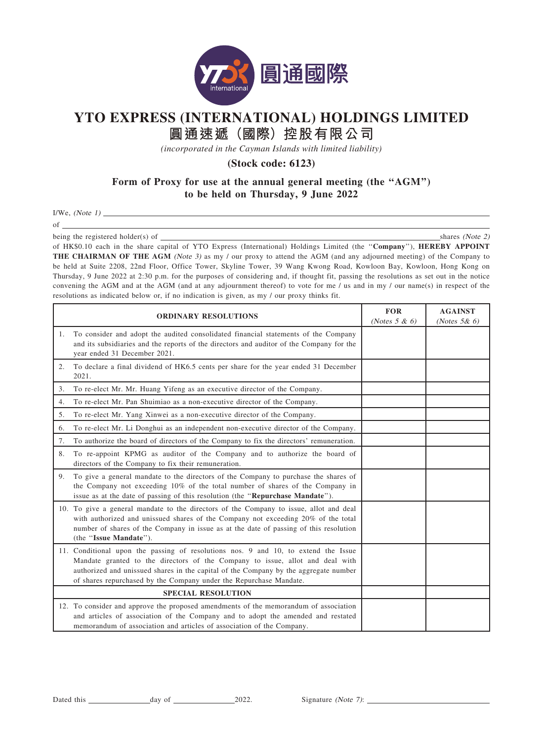

## **YTO EXPRESS (INTERNATIONAL) HOLDINGS LIMITED**

**圓通速遞(國際)控股有限公司**

*(incorporated in the Cayman Islands with limited liability)*

**(Stock code: 6123)**

## Form of Proxy for use at the annual general meeting (the "AGM") to be held on Thursday, 9 June 2022

 $I/We$ , (*Note 1*)

of

being the registered holder(s) of shares (Note 2)

of HK\$0.10 each in the share capital of YTO Express (International) Holdings Limited (the "Company"), HEREBY APPOINT THE CHAIRMAN OF THE AGM (Note 3) as my / our proxy to attend the AGM (and any adjourned meeting) of the Company to be held at Suite 2208, 22nd Floor, Office Tower, Skyline Tower, 39 Wang Kwong Road, Kowloon Bay, Kowloon, Hong Kong on Thursday, 9 June 2022 at 2:30 p.m. for the purposes of considering and, if thought fit, passing the resolutions as set out in the notice convening the AGM and at the AGM (and at any adjournment thereof) to vote for me / us and in my / our name(s) in respect of the resolutions as indicated below or, if no indication is given, as my / our proxy thinks fit.

|                           | <b>ORDINARY RESOLUTIONS</b>                                                                                                                                                                                                                                                                                                       | <b>FOR</b><br>(Notes $5 & 6$ ) | <b>AGAINST</b><br>(Notes $5&6$ ) |
|---------------------------|-----------------------------------------------------------------------------------------------------------------------------------------------------------------------------------------------------------------------------------------------------------------------------------------------------------------------------------|--------------------------------|----------------------------------|
| 1.                        | To consider and adopt the audited consolidated financial statements of the Company<br>and its subsidiaries and the reports of the directors and auditor of the Company for the<br>year ended 31 December 2021.                                                                                                                    |                                |                                  |
| 2.                        | To declare a final dividend of HK6.5 cents per share for the year ended 31 December<br>2021.                                                                                                                                                                                                                                      |                                |                                  |
| 3.                        | To re-elect Mr. Mr. Huang Yifeng as an executive director of the Company.                                                                                                                                                                                                                                                         |                                |                                  |
| 4.                        | To re-elect Mr. Pan Shuimiao as a non-executive director of the Company.                                                                                                                                                                                                                                                          |                                |                                  |
| 5.                        | To re-elect Mr. Yang Xinwei as a non-executive director of the Company.                                                                                                                                                                                                                                                           |                                |                                  |
| 6.                        | To re-elect Mr. Li Donghui as an independent non-executive director of the Company.                                                                                                                                                                                                                                               |                                |                                  |
| 7.                        | To authorize the board of directors of the Company to fix the directors' remuneration.                                                                                                                                                                                                                                            |                                |                                  |
| 8.                        | To re-appoint KPMG as auditor of the Company and to authorize the board of<br>directors of the Company to fix their remuneration.                                                                                                                                                                                                 |                                |                                  |
| 9.                        | To give a general mandate to the directors of the Company to purchase the shares of<br>the Company not exceeding 10% of the total number of shares of the Company in<br>issue as at the date of passing of this resolution (the "Repurchase Mandate").                                                                            |                                |                                  |
|                           | 10. To give a general mandate to the directors of the Company to issue, allot and deal<br>with authorized and unissued shares of the Company not exceeding 20% of the total<br>number of shares of the Company in issue as at the date of passing of this resolution<br>(the "Issue Mandate").                                    |                                |                                  |
|                           | 11. Conditional upon the passing of resolutions nos. 9 and 10, to extend the Issue<br>Mandate granted to the directors of the Company to issue, allot and deal with<br>authorized and unissued shares in the capital of the Company by the aggregate number<br>of shares repurchased by the Company under the Repurchase Mandate. |                                |                                  |
| <b>SPECIAL RESOLUTION</b> |                                                                                                                                                                                                                                                                                                                                   |                                |                                  |
|                           | 12. To consider and approve the proposed amendments of the memorandum of association<br>and articles of association of the Company and to adopt the amended and restated<br>memorandum of association and articles of association of the Company.                                                                                 |                                |                                  |